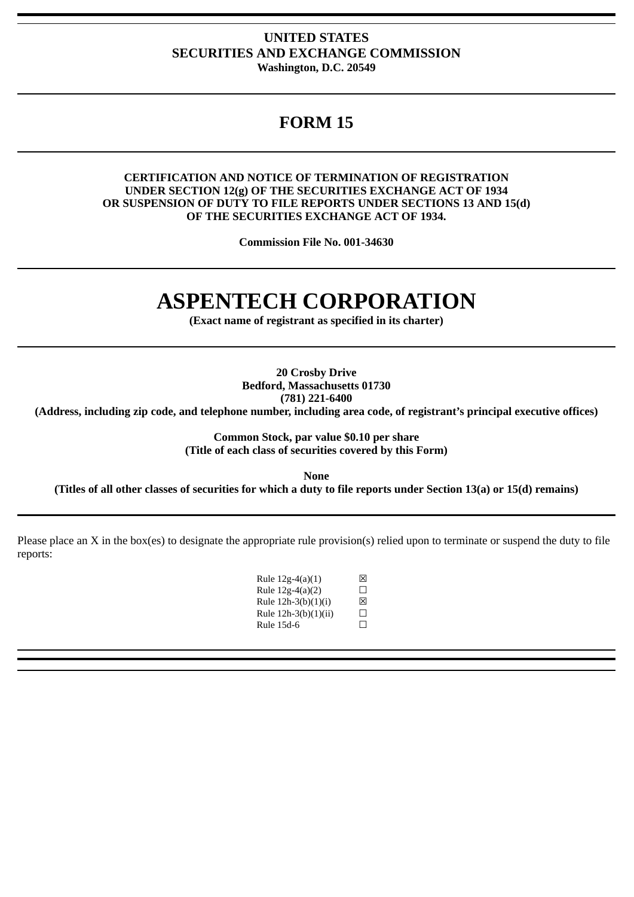### **UNITED STATES SECURITIES AND EXCHANGE COMMISSION Washington, D.C. 20549**

## **FORM 15**

#### **CERTIFICATION AND NOTICE OF TERMINATION OF REGISTRATION UNDER SECTION 12(g) OF THE SECURITIES EXCHANGE ACT OF 1934 OR SUSPENSION OF DUTY TO FILE REPORTS UNDER SECTIONS 13 AND 15(d) OF THE SECURITIES EXCHANGE ACT OF 1934.**

**Commission File No. 001-34630**

# **ASPENTECH CORPORATION**

**(Exact name of registrant as specified in its charter)**

**20 Crosby Drive Bedford, Massachusetts 01730**

**(781) 221-6400**

**(Address, including zip code, and telephone number, including area code, of registrant's principal executive offices)**

**Common Stock, par value \$0.10 per share (Title of each class of securities covered by this Form)**

**None**

**(Titles of all other classes of securities for which a duty to file reports under Section 13(a) or 15(d) remains)**

Please place an X in the box(es) to designate the appropriate rule provision(s) relied upon to terminate or suspend the duty to file reports:

| Rule 12g-4(a)(1)     | 冈       |
|----------------------|---------|
| Rule 12g-4(a)(2)     | П       |
| Rule 12h-3(b)(1)(i)  | 冈       |
| Rule 12h-3(b)(1)(ii) | $\perp$ |
| Rule 15d-6           | П       |
|                      |         |